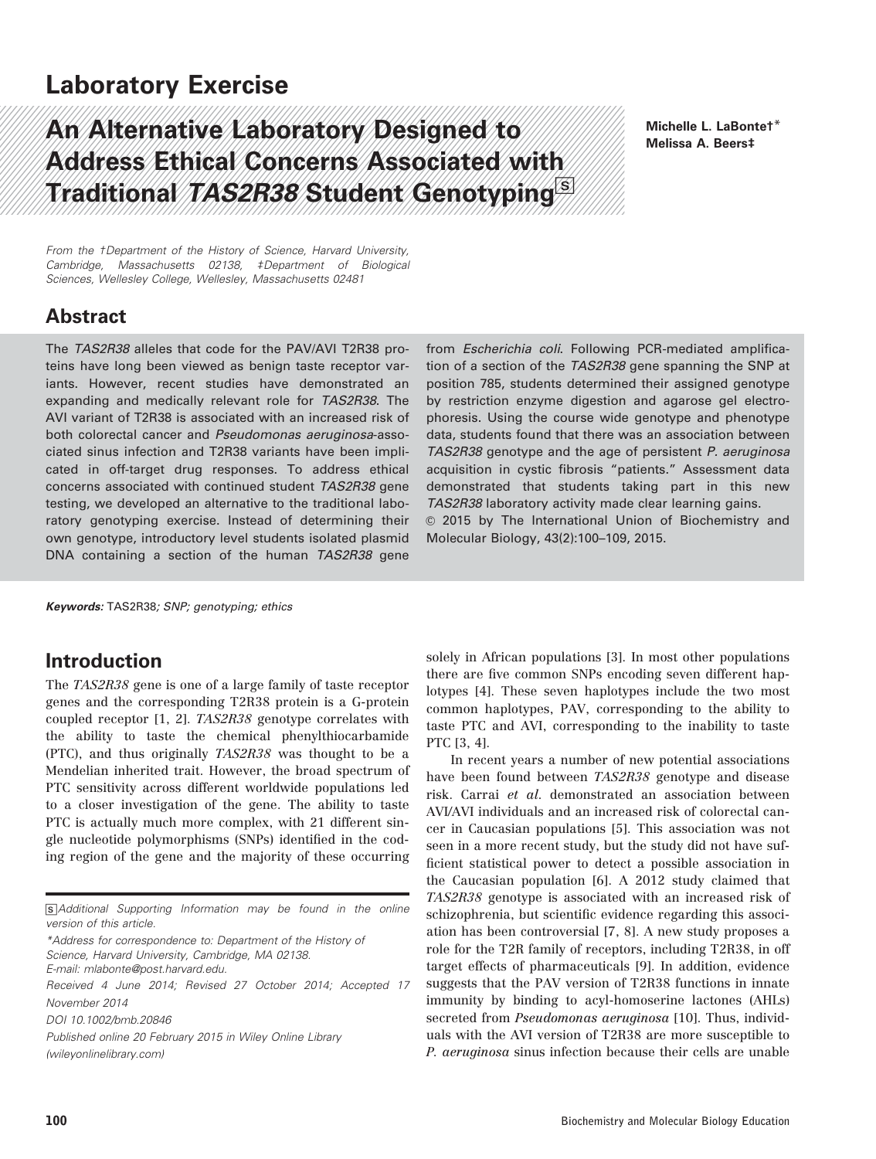## Laboratory Exercise

# An Alternative Laboratory Designed to Address Ethical Concerns Associated with Traditional TAS2R38 Student Genotyping $^{\rm [S]}$

Michelle L. LaBonte†\* Melissa A. Beers‡

From the †Department of the History of Science, Harvard University, Cambridge, Massachusetts 02138, ‡Department of Biological Sciences, Wellesley College, Wellesley, Massachusetts 02481

### Abstract

The TAS2R38 alleles that code for the PAV/AVI T2R38 proteins have long been viewed as benign taste receptor variants. However, recent studies have demonstrated an expanding and medically relevant role for TAS2R38. The AVI variant of T2R38 is associated with an increased risk of both colorectal cancer and Pseudomonas aeruginosa-associated sinus infection and T2R38 variants have been implicated in off-target drug responses. To address ethical concerns associated with continued student TAS2R38 gene testing, we developed an alternative to the traditional laboratory genotyping exercise. Instead of determining their own genotype, introductory level students isolated plasmid DNA containing a section of the human TAS2R38 gene

from Escherichia coli. Following PCR-mediated amplification of a section of the TAS2R38 gene spanning the SNP at position 785, students determined their assigned genotype by restriction enzyme digestion and agarose gel electrophoresis. Using the course wide genotype and phenotype data, students found that there was an association between TAS2R38 genotype and the age of persistent P. aeruginosa acquisition in cystic fibrosis "patients." Assessment data demonstrated that students taking part in this new TAS2R38 laboratory activity made clear learning gains.  $©$  2015 by The International Union of Biochemistry and Molecular Biology, 43(2):100–109, 2015.

Keywords: TAS2R38; SNP; genotyping; ethics

### Introduction

The TAS2R38 gene is one of a large family of taste receptor genes and the corresponding T2R38 protein is a G-protein coupled receptor [1, 2]. TAS2R38 genotype correlates with the ability to taste the chemical phenylthiocarbamide (PTC), and thus originally TAS2R38 was thought to be a Mendelian inherited trait. However, the broad spectrum of PTC sensitivity across different worldwide populations led to a closer investigation of the gene. The ability to taste PTC is actually much more complex, with 21 different single nucleotide polymorphisms (SNPs) identified in the coding region of the gene and the majority of these occurring

s Additional Supporting Information may be found in the online version of this article.

\*Address for correspondence to: Department of the History of Science, Harvard University, Cambridge, MA 02138.

E-mail: mlabonte@post.harvard.edu.

Received 4 June 2014; Revised 27 October 2014; Accepted 17 November 2014

DOI 10.1002/bmb.20846

Published online 20 February 2015 in Wiley Online Library (wileyonlinelibrary.com)

solely in African populations [3]. In most other populations there are five common SNPs encoding seven different haplotypes [4]. These seven haplotypes include the two most common haplotypes, PAV, corresponding to the ability to taste PTC and AVI, corresponding to the inability to taste PTC [3, 4].

In recent years a number of new potential associations have been found between TAS2R38 genotype and disease risk. Carrai et al. demonstrated an association between AVI/AVI individuals and an increased risk of colorectal cancer in Caucasian populations [5]. This association was not seen in a more recent study, but the study did not have sufficient statistical power to detect a possible association in the Caucasian population [6]. A 2012 study claimed that TAS2R38 genotype is associated with an increased risk of schizophrenia, but scientific evidence regarding this association has been controversial [7, 8]. A new study proposes a role for the T2R family of receptors, including T2R38, in off target effects of pharmaceuticals [9]. In addition, evidence suggests that the PAV version of T2R38 functions in innate immunity by binding to acyl-homoserine lactones (AHLs) secreted from *Pseudomonas aeruginosa* [10]. Thus, individuals with the AVI version of T2R38 are more susceptible to P. aeruginosa sinus infection because their cells are unable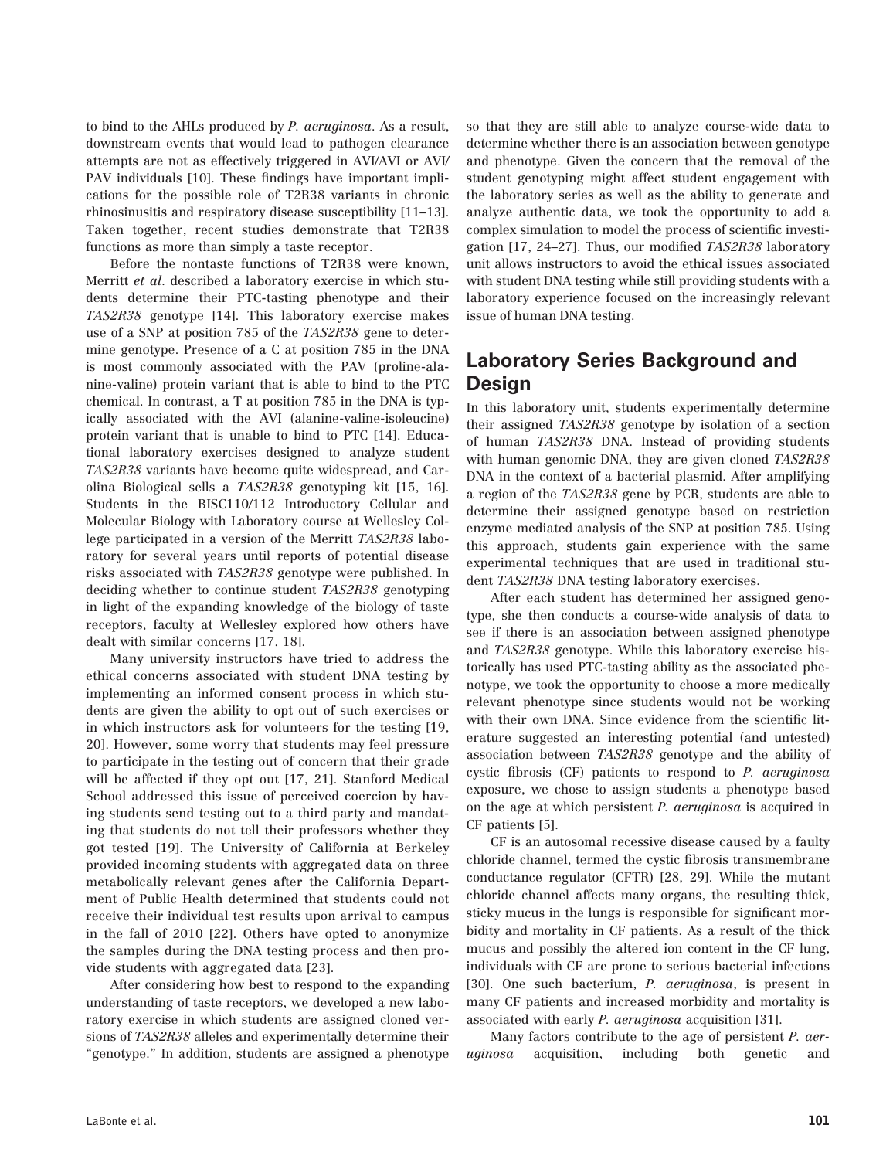to bind to the AHLs produced by P. aeruginosa. As a result, downstream events that would lead to pathogen clearance attempts are not as effectively triggered in AVI/AVI or AVI/ PAV individuals [10]. These findings have important implications for the possible role of T2R38 variants in chronic rhinosinusitis and respiratory disease susceptibility [11–13]. Taken together, recent studies demonstrate that T2R38 functions as more than simply a taste receptor.

Before the nontaste functions of T2R38 were known, Merritt et al. described a laboratory exercise in which students determine their PTC-tasting phenotype and their TAS2R38 genotype [14]. This laboratory exercise makes use of a SNP at position 785 of the TAS2R38 gene to determine genotype. Presence of a C at position 785 in the DNA is most commonly associated with the PAV (proline-alanine-valine) protein variant that is able to bind to the PTC chemical. In contrast, a T at position 785 in the DNA is typically associated with the AVI (alanine-valine-isoleucine) protein variant that is unable to bind to PTC [14]. Educational laboratory exercises designed to analyze student TAS2R38 variants have become quite widespread, and Carolina Biological sells a TAS2R38 genotyping kit [15, 16]. Students in the BISC110/112 Introductory Cellular and Molecular Biology with Laboratory course at Wellesley College participated in a version of the Merritt TAS2R38 laboratory for several years until reports of potential disease risks associated with TAS2R38 genotype were published. In deciding whether to continue student TAS2R38 genotyping in light of the expanding knowledge of the biology of taste receptors, faculty at Wellesley explored how others have dealt with similar concerns [17, 18].

Many university instructors have tried to address the ethical concerns associated with student DNA testing by implementing an informed consent process in which students are given the ability to opt out of such exercises or in which instructors ask for volunteers for the testing [19, 20]. However, some worry that students may feel pressure to participate in the testing out of concern that their grade will be affected if they opt out [17, 21]. Stanford Medical School addressed this issue of perceived coercion by having students send testing out to a third party and mandating that students do not tell their professors whether they got tested [19]. The University of California at Berkeley provided incoming students with aggregated data on three metabolically relevant genes after the California Department of Public Health determined that students could not receive their individual test results upon arrival to campus in the fall of 2010 [22]. Others have opted to anonymize the samples during the DNA testing process and then provide students with aggregated data [23].

After considering how best to respond to the expanding understanding of taste receptors, we developed a new laboratory exercise in which students are assigned cloned versions of TAS2R38 alleles and experimentally determine their "genotype." In addition, students are assigned a phenotype

so that they are still able to analyze course-wide data to determine whether there is an association between genotype and phenotype. Given the concern that the removal of the student genotyping might affect student engagement with the laboratory series as well as the ability to generate and analyze authentic data, we took the opportunity to add a complex simulation to model the process of scientific investigation [17, 24–27]. Thus, our modified TAS2R38 laboratory unit allows instructors to avoid the ethical issues associated with student DNA testing while still providing students with a laboratory experience focused on the increasingly relevant issue of human DNA testing.

### Laboratory Series Background and **Design**

In this laboratory unit, students experimentally determine their assigned TAS2R38 genotype by isolation of a section of human TAS2R38 DNA. Instead of providing students with human genomic DNA, they are given cloned TAS2R38 DNA in the context of a bacterial plasmid. After amplifying a region of the TAS2R38 gene by PCR, students are able to determine their assigned genotype based on restriction enzyme mediated analysis of the SNP at position 785. Using this approach, students gain experience with the same experimental techniques that are used in traditional student TAS2R38 DNA testing laboratory exercises.

After each student has determined her assigned genotype, she then conducts a course-wide analysis of data to see if there is an association between assigned phenotype and TAS2R38 genotype. While this laboratory exercise historically has used PTC-tasting ability as the associated phenotype, we took the opportunity to choose a more medically relevant phenotype since students would not be working with their own DNA. Since evidence from the scientific literature suggested an interesting potential (and untested) association between TAS2R38 genotype and the ability of cystic fibrosis (CF) patients to respond to P. aeruginosa exposure, we chose to assign students a phenotype based on the age at which persistent P. aeruginosa is acquired in CF patients [5].

CF is an autosomal recessive disease caused by a faulty chloride channel, termed the cystic fibrosis transmembrane conductance regulator (CFTR) [28, 29]. While the mutant chloride channel affects many organs, the resulting thick, sticky mucus in the lungs is responsible for significant morbidity and mortality in CF patients. As a result of the thick mucus and possibly the altered ion content in the CF lung, individuals with CF are prone to serious bacterial infections [30]. One such bacterium, P. aeruginosa, is present in many CF patients and increased morbidity and mortality is associated with early P. aeruginosa acquisition [31].

Many factors contribute to the age of persistent P. aeruginosa acquisition, including both genetic and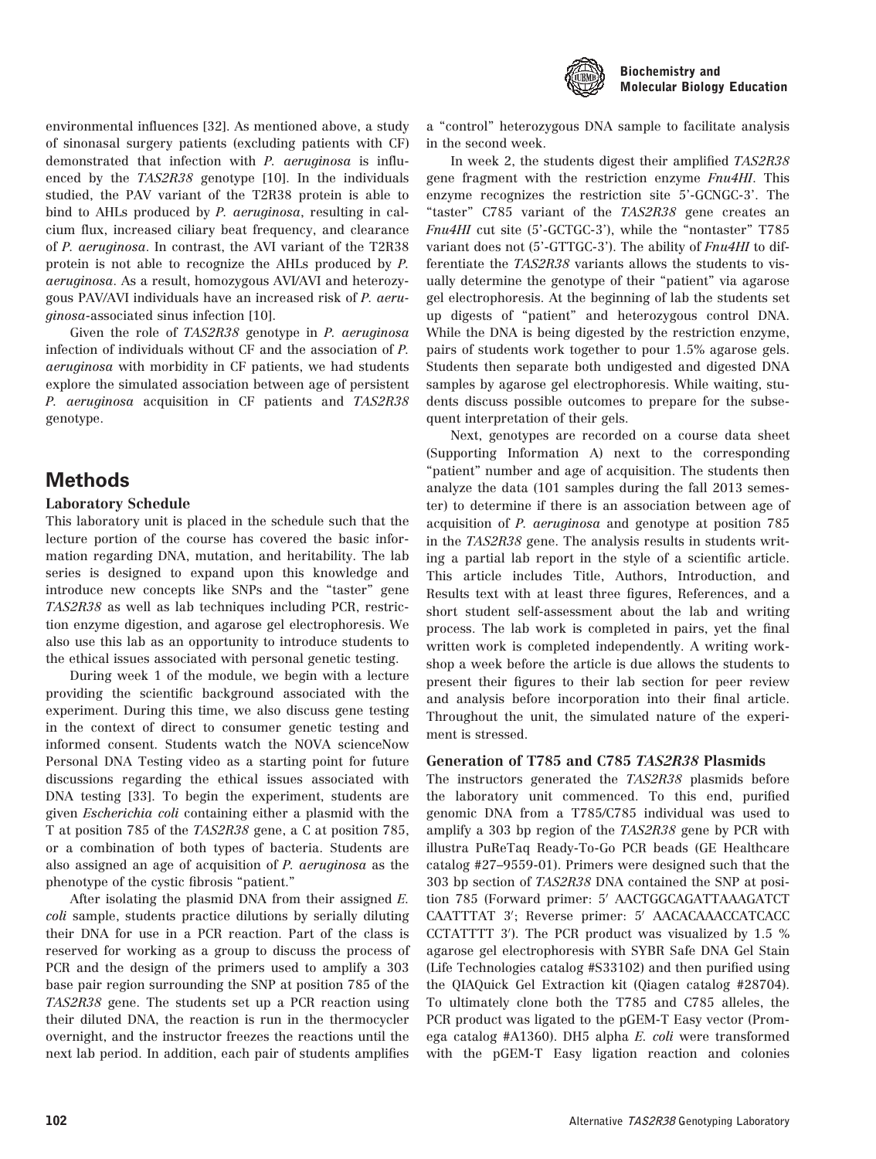

environmental influences [32]. As mentioned above, a study of sinonasal surgery patients (excluding patients with CF) demonstrated that infection with P. aeruginosa is influenced by the TAS2R38 genotype [10]. In the individuals studied, the PAV variant of the T2R38 protein is able to bind to AHLs produced by P. aeruginosa, resulting in calcium flux, increased ciliary beat frequency, and clearance of P. aeruginosa. In contrast, the AVI variant of the T2R38 protein is not able to recognize the AHLs produced by P. aeruginosa. As a result, homozygous AVI/AVI and heterozygous PAV/AVI individuals have an increased risk of P. aeruginosa-associated sinus infection [10].

Given the role of TAS2R38 genotype in P. aeruginosa infection of individuals without CF and the association of P. aeruginosa with morbidity in CF patients, we had students explore the simulated association between age of persistent P. aeruginosa acquisition in CF patients and TAS2R38 genotype.

### Methods

#### Laboratory Schedule

This laboratory unit is placed in the schedule such that the lecture portion of the course has covered the basic information regarding DNA, mutation, and heritability. The lab series is designed to expand upon this knowledge and introduce new concepts like SNPs and the "taster" gene TAS2R38 as well as lab techniques including PCR, restriction enzyme digestion, and agarose gel electrophoresis. We also use this lab as an opportunity to introduce students to the ethical issues associated with personal genetic testing.

During week 1 of the module, we begin with a lecture providing the scientific background associated with the experiment. During this time, we also discuss gene testing in the context of direct to consumer genetic testing and informed consent. Students watch the NOVA scienceNow Personal DNA Testing video as a starting point for future discussions regarding the ethical issues associated with DNA testing [33]. To begin the experiment, students are given Escherichia coli containing either a plasmid with the T at position 785 of the TAS2R38 gene, a C at position 785, or a combination of both types of bacteria. Students are also assigned an age of acquisition of P. aeruginosa as the phenotype of the cystic fibrosis "patient."

After isolating the plasmid DNA from their assigned E. coli sample, students practice dilutions by serially diluting their DNA for use in a PCR reaction. Part of the class is reserved for working as a group to discuss the process of PCR and the design of the primers used to amplify a 303 base pair region surrounding the SNP at position 785 of the TAS2R38 gene. The students set up a PCR reaction using their diluted DNA, the reaction is run in the thermocycler overnight, and the instructor freezes the reactions until the next lab period. In addition, each pair of students amplifies

a "control" heterozygous DNA sample to facilitate analysis in the second week.

In week 2, the students digest their amplified TAS2R38 gene fragment with the restriction enzyme Fnu4HI. This enzyme recognizes the restriction site 5'-GCNGC-3'. The "taster" C785 variant of the TAS2R38 gene creates an Fnu4HI cut site (5'-GCTGC-3'), while the "nontaster" T785 variant does not (5'-GTTGC-3'). The ability of *Fnu4HI* to differentiate the TAS2R38 variants allows the students to visually determine the genotype of their "patient" via agarose gel electrophoresis. At the beginning of lab the students set up digests of "patient" and heterozygous control DNA. While the DNA is being digested by the restriction enzyme, pairs of students work together to pour 1.5% agarose gels. Students then separate both undigested and digested DNA samples by agarose gel electrophoresis. While waiting, students discuss possible outcomes to prepare for the subsequent interpretation of their gels.

Next, genotypes are recorded on a course data sheet (Supporting Information A) next to the corresponding "patient" number and age of acquisition. The students then analyze the data (101 samples during the fall 2013 semester) to determine if there is an association between age of acquisition of P. aeruginosa and genotype at position 785 in the TAS2R38 gene. The analysis results in students writing a partial lab report in the style of a scientific article. This article includes Title, Authors, Introduction, and Results text with at least three figures, References, and a short student self-assessment about the lab and writing process. The lab work is completed in pairs, yet the final written work is completed independently. A writing workshop a week before the article is due allows the students to present their figures to their lab section for peer review and analysis before incorporation into their final article. Throughout the unit, the simulated nature of the experiment is stressed.

#### Generation of T785 and C785 TAS2R38 Plasmids

The instructors generated the TAS2R38 plasmids before the laboratory unit commenced. To this end, purified genomic DNA from a T785/C785 individual was used to amplify a 303 bp region of the TAS2R38 gene by PCR with illustra PuReTaq Ready-To-Go PCR beads (GE Healthcare catalog #27–9559-01). Primers were designed such that the 303 bp section of TAS2R38 DNA contained the SNP at position 785 (Forward primer: 5' AACTGGCAGATTAAAGATCT CAATTTAT 3'; Reverse primer: 5' AACACAAACCATCACC CCTATTTT  $3'$ ). The PCR product was visualized by 1.5 % agarose gel electrophoresis with SYBR Safe DNA Gel Stain (Life Technologies catalog #S33102) and then purified using the QIAQuick Gel Extraction kit (Qiagen catalog #28704). To ultimately clone both the T785 and C785 alleles, the PCR product was ligated to the pGEM-T Easy vector (Promega catalog #A1360). DH5 alpha E. coli were transformed with the pGEM-T Easy ligation reaction and colonies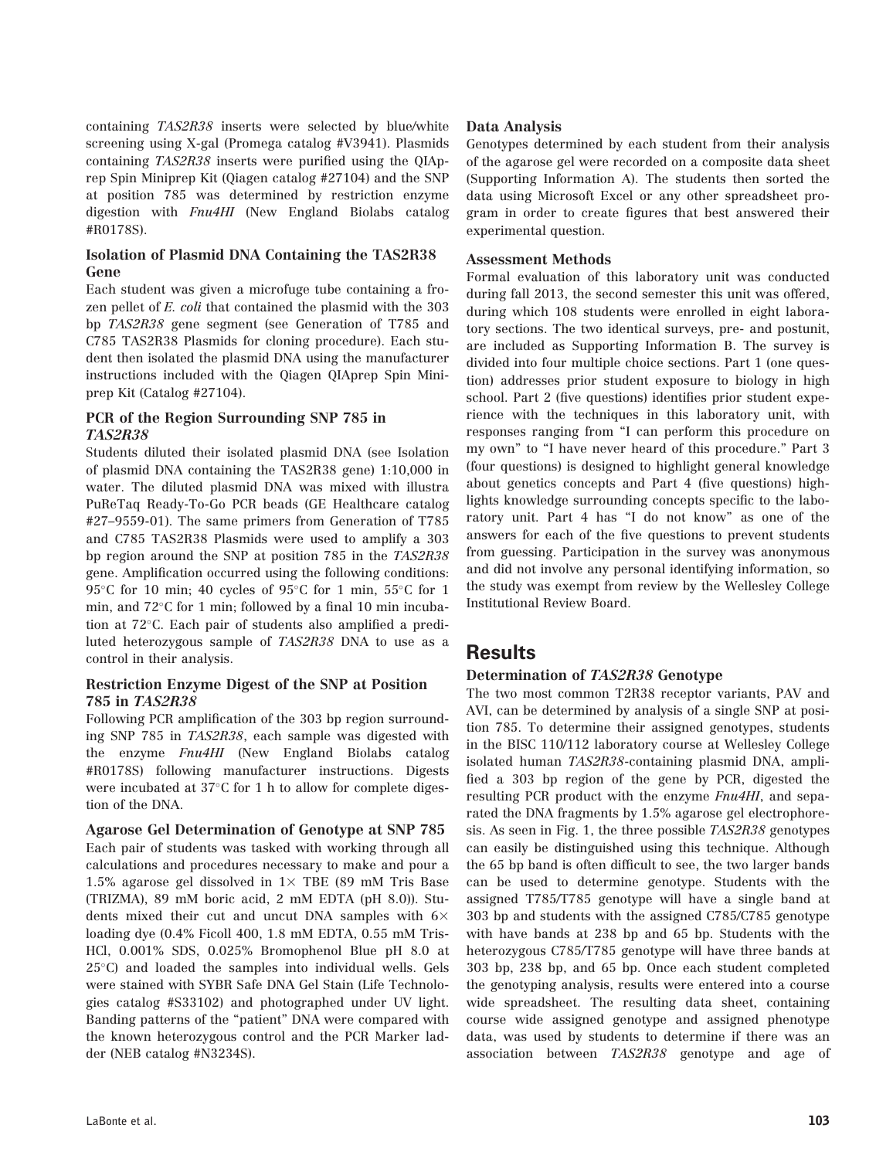containing TAS2R38 inserts were selected by blue/white screening using X-gal (Promega catalog #V3941). Plasmids containing TAS2R38 inserts were purified using the QIAprep Spin Miniprep Kit (Qiagen catalog #27104) and the SNP at position 785 was determined by restriction enzyme digestion with Fnu4HI (New England Biolabs catalog #R0178S).

#### Isolation of Plasmid DNA Containing the TAS2R38 Gene

Each student was given a microfuge tube containing a frozen pellet of E. coli that contained the plasmid with the 303 bp TAS2R38 gene segment (see Generation of T785 and C785 TAS2R38 Plasmids for cloning procedure). Each student then isolated the plasmid DNA using the manufacturer instructions included with the Qiagen QIAprep Spin Miniprep Kit (Catalog #27104).

#### PCR of the Region Surrounding SNP 785 in TAS2R38

Students diluted their isolated plasmid DNA (see Isolation of plasmid DNA containing the TAS2R38 gene) 1:10,000 in water. The diluted plasmid DNA was mixed with illustra PuReTaq Ready-To-Go PCR beads (GE Healthcare catalog #27–9559-01). The same primers from Generation of T785 and C785 TAS2R38 Plasmids were used to amplify a 303 bp region around the SNP at position 785 in the TAS2R38 gene. Amplification occurred using the following conditions: 95 $\degree$ C for 10 min; 40 cycles of 95 $\degree$ C for 1 min, 55 $\degree$ C for 1 min, and 72°C for 1 min; followed by a final 10 min incubation at 72°C. Each pair of students also amplified a prediluted heterozygous sample of TAS2R38 DNA to use as a control in their analysis.

#### Restriction Enzyme Digest of the SNP at Position 785 in TAS2R38

Following PCR amplification of the 303 bp region surrounding SNP 785 in TAS2R38, each sample was digested with the enzyme Fnu4HI (New England Biolabs catalog #R0178S) following manufacturer instructions. Digests were incubated at 37°C for 1 h to allow for complete digestion of the DNA.

Agarose Gel Determination of Genotype at SNP 785 Each pair of students was tasked with working through all calculations and procedures necessary to make and pour a 1.5% agarose gel dissolved in  $1 \times$  TBE (89 mM Tris Base (TRIZMA), 89 mM boric acid, 2 mM EDTA (pH 8.0)). Students mixed their cut and uncut DNA samples with  $6\times$ loading dye (0.4% Ficoll 400, 1.8 mM EDTA, 0.55 mM Tris-HCl, 0.001% SDS, 0.025% Bromophenol Blue pH 8.0 at 25°C) and loaded the samples into individual wells. Gels were stained with SYBR Safe DNA Gel Stain (Life Technologies catalog #S33102) and photographed under UV light. Banding patterns of the "patient" DNA were compared with the known heterozygous control and the PCR Marker ladder (NEB catalog #N3234S).

#### Data Analysis

Genotypes determined by each student from their analysis of the agarose gel were recorded on a composite data sheet (Supporting Information A). The students then sorted the data using Microsoft Excel or any other spreadsheet program in order to create figures that best answered their experimental question.

#### Assessment Methods

Formal evaluation of this laboratory unit was conducted during fall 2013, the second semester this unit was offered, during which 108 students were enrolled in eight laboratory sections. The two identical surveys, pre- and postunit, are included as Supporting Information B. The survey is divided into four multiple choice sections. Part 1 (one question) addresses prior student exposure to biology in high school. Part 2 (five questions) identifies prior student experience with the techniques in this laboratory unit, with responses ranging from "I can perform this procedure on my own" to "I have never heard of this procedure." Part 3 (four questions) is designed to highlight general knowledge about genetics concepts and Part 4 (five questions) highlights knowledge surrounding concepts specific to the laboratory unit. Part 4 has "I do not know" as one of the answers for each of the five questions to prevent students from guessing. Participation in the survey was anonymous and did not involve any personal identifying information, so the study was exempt from review by the Wellesley College Institutional Review Board.

### Results

#### Determination of TAS2R38 Genotype

The two most common T2R38 receptor variants, PAV and AVI, can be determined by analysis of a single SNP at position 785. To determine their assigned genotypes, students in the BISC 110/112 laboratory course at Wellesley College isolated human TAS2R38-containing plasmid DNA, amplified a 303 bp region of the gene by PCR, digested the resulting PCR product with the enzyme Fnu4HI, and separated the DNA fragments by 1.5% agarose gel electrophoresis. As seen in Fig. 1, the three possible TAS2R38 genotypes can easily be distinguished using this technique. Although the 65 bp band is often difficult to see, the two larger bands can be used to determine genotype. Students with the assigned T785/T785 genotype will have a single band at 303 bp and students with the assigned C785/C785 genotype with have bands at 238 bp and 65 bp. Students with the heterozygous C785/T785 genotype will have three bands at 303 bp, 238 bp, and 65 bp. Once each student completed the genotyping analysis, results were entered into a course wide spreadsheet. The resulting data sheet, containing course wide assigned genotype and assigned phenotype data, was used by students to determine if there was an association between TAS2R38 genotype and age of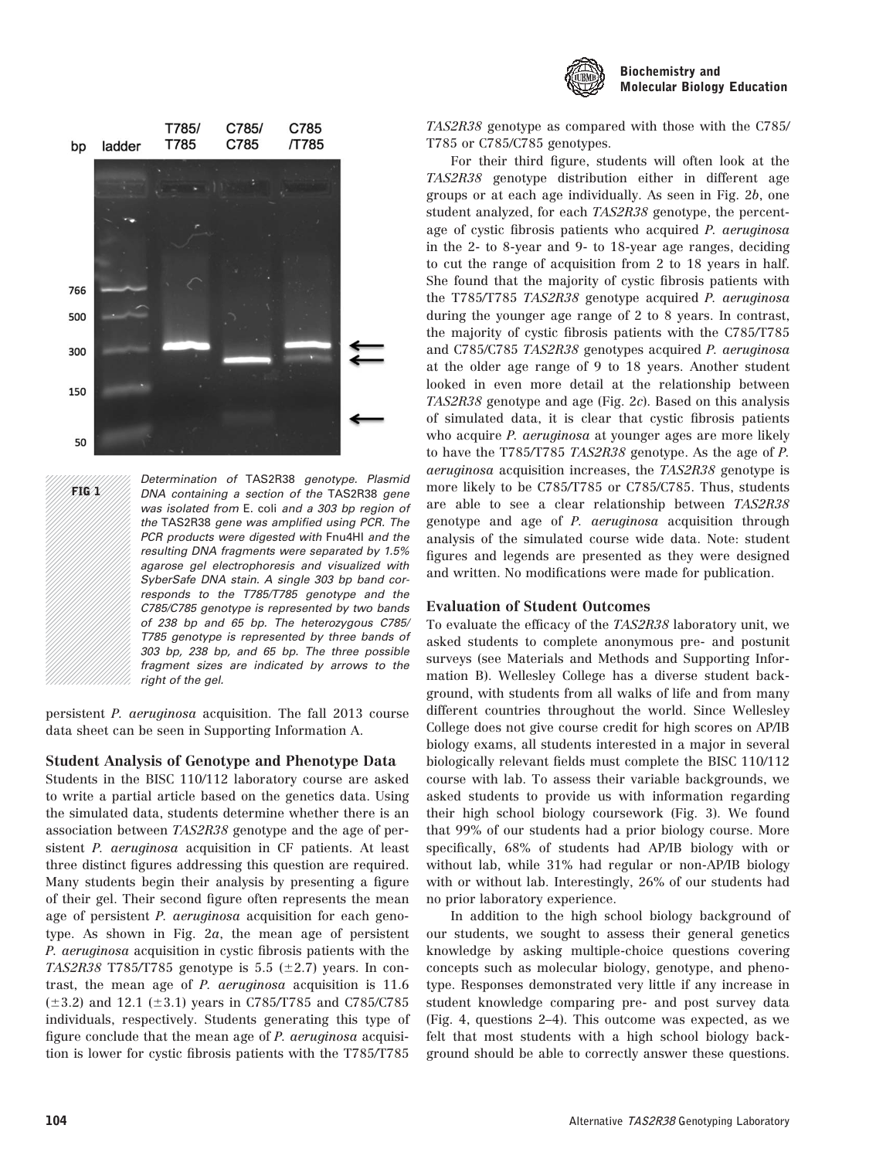



Determination of TAS2R38 genotype. Plasmid DNA containing a section of the TAS2R38 gene was isolated from E. coli and a 303 bp region of the TAS2R38 gene was amplified using PCR. The PCR products were digested with Fnu4HI and the resulting DNA fragments were separated by 1.5% agarose gel electrophoresis and visualized with SyberSafe DNA stain. A single 303 bp band corresponds to the T785/T785 genotype and the C785/C785 genotype is represented by two bands of 238 bp and 65 bp. The heterozygous C785/ T785 genotype is represented by three bands of 303 bp, 238 bp, and 65 bp. The three possible fragment sizes are indicated by arrows to the right of the gel. FIG 1

persistent P. aeruginosa acquisition. The fall 2013 course data sheet can be seen in Supporting Information A.

#### Student Analysis of Genotype and Phenotype Data

Students in the BISC 110/112 laboratory course are asked to write a partial article based on the genetics data. Using the simulated data, students determine whether there is an association between TAS2R38 genotype and the age of persistent P. aeruginosa acquisition in CF patients. At least three distinct figures addressing this question are required. Many students begin their analysis by presenting a figure of their gel. Their second figure often represents the mean age of persistent P. aeruginosa acquisition for each genotype. As shown in Fig. 2a, the mean age of persistent P. aeruginosa acquisition in cystic fibrosis patients with the TAS2R38 T785/T785 genotype is 5.5 ( $\pm$ 2.7) years. In contrast, the mean age of P. aeruginosa acquisition is 11.6  $(\pm 3.2)$  and 12.1  $(\pm 3.1)$  years in C785/T785 and C785/C785 individuals, respectively. Students generating this type of figure conclude that the mean age of P. aeruginosa acquisition is lower for cystic fibrosis patients with the T785/T785

TAS2R38 genotype as compared with those with the C785/ T785 or C785/C785 genotypes.

For their third figure, students will often look at the TAS2R38 genotype distribution either in different age groups or at each age individually. As seen in Fig. 2b, one student analyzed, for each TAS2R38 genotype, the percentage of cystic fibrosis patients who acquired P. aeruginosa in the 2- to 8-year and 9- to 18-year age ranges, deciding to cut the range of acquisition from 2 to 18 years in half. She found that the majority of cystic fibrosis patients with the T785/T785 TAS2R38 genotype acquired P. aeruginosa during the younger age range of 2 to 8 years. In contrast, the majority of cystic fibrosis patients with the C785/T785 and C785/C785 TAS2R38 genotypes acquired P. aeruginosa at the older age range of 9 to 18 years. Another student looked in even more detail at the relationship between TAS2R38 genotype and age (Fig. 2c). Based on this analysis of simulated data, it is clear that cystic fibrosis patients who acquire *P. aeruginosa* at younger ages are more likely to have the T785/T785 TAS2R38 genotype. As the age of P. aeruginosa acquisition increases, the TAS2R38 genotype is more likely to be C785/T785 or C785/C785. Thus, students are able to see a clear relationship between TAS2R38 genotype and age of P. aeruginosa acquisition through analysis of the simulated course wide data. Note: student figures and legends are presented as they were designed and written. No modifications were made for publication.

#### Evaluation of Student Outcomes

To evaluate the efficacy of the TAS2R38 laboratory unit, we asked students to complete anonymous pre- and postunit surveys (see Materials and Methods and Supporting Information B). Wellesley College has a diverse student background, with students from all walks of life and from many different countries throughout the world. Since Wellesley College does not give course credit for high scores on AP/IB biology exams, all students interested in a major in several biologically relevant fields must complete the BISC 110/112 course with lab. To assess their variable backgrounds, we asked students to provide us with information regarding their high school biology coursework (Fig. 3). We found that 99% of our students had a prior biology course. More specifically, 68% of students had AP/IB biology with or without lab, while 31% had regular or non-AP/IB biology with or without lab. Interestingly, 26% of our students had no prior laboratory experience.

In addition to the high school biology background of our students, we sought to assess their general genetics knowledge by asking multiple-choice questions covering concepts such as molecular biology, genotype, and phenotype. Responses demonstrated very little if any increase in student knowledge comparing pre- and post survey data (Fig. 4, questions 2–4). This outcome was expected, as we felt that most students with a high school biology background should be able to correctly answer these questions.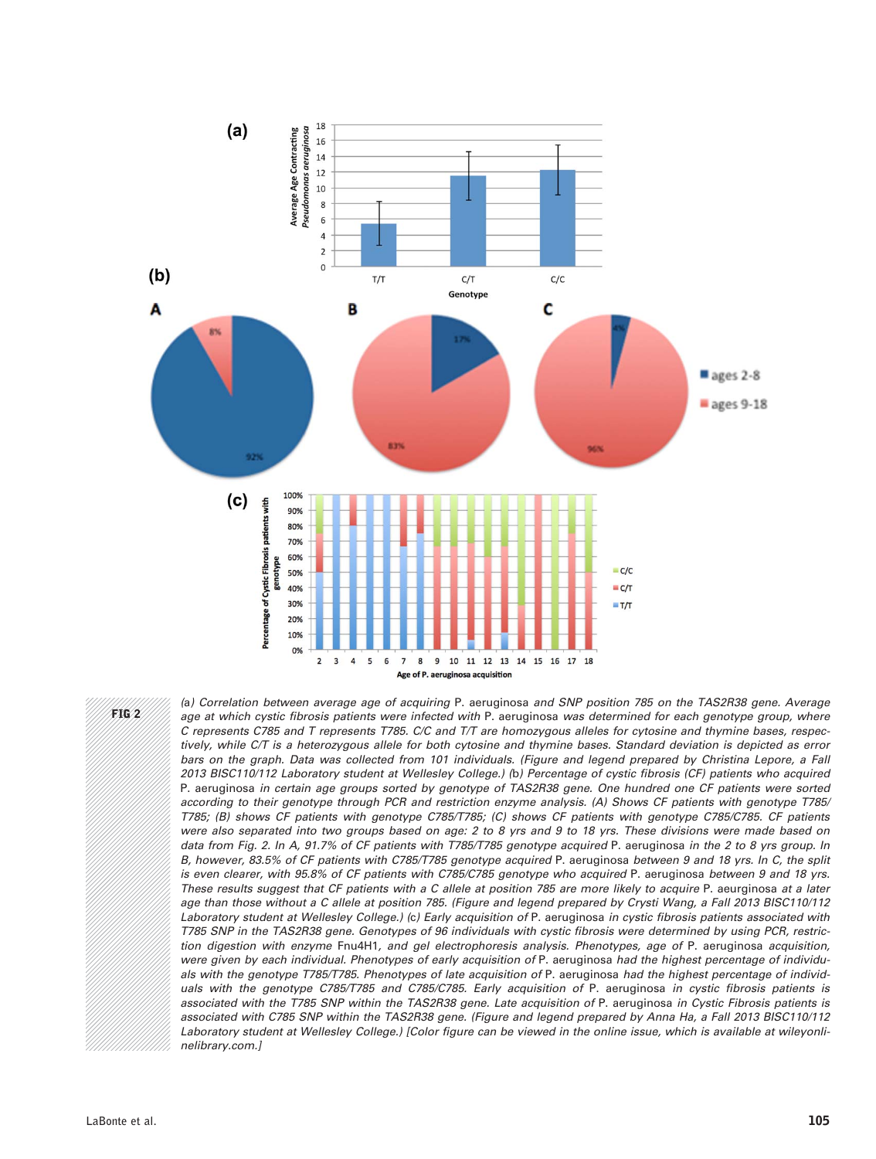

FIG 2

(a) Correlation between average age of acquiring P. aeruginosa and SNP position 785 on the TAS2R38 gene. Average age at which cystic fibrosis patients were infected with P. aeruginosa was determined for each genotype group, where C represents C785 and T represents T785. C/C and T/T are homozygous alleles for cytosine and thymine bases, respectively, while C/T is a heterozygous allele for both cytosine and thymine bases. Standard deviation is depicted as error bars on the graph. Data was collected from 101 individuals. (Figure and legend prepared by Christina Lepore, a Fall 2013 BISC110/112 Laboratory student at Wellesley College.) (b) Percentage of cystic fibrosis (CF) patients who acquired P. aeruginosa in certain age groups sorted by genotype of TAS2R38 gene. One hundred one CF patients were sorted according to their genotype through PCR and restriction enzyme analysis. (A) Shows CF patients with genotype T785/ T785; (B) shows CF patients with genotype C785/T785; (C) shows CF patients with genotype C785/C785. CF patients were also separated into two groups based on age: 2 to 8 yrs and 9 to 18 yrs. These divisions were made based on data from Fig. 2. In A, 91.7% of CF patients with T785/T785 genotype acquired P. aeruginosa in the 2 to 8 yrs group. In B, however, 83.5% of CF patients with C785/T785 genotype acquired P. aeruginosa between 9 and 18 yrs. In C, the split is even clearer, with 95.8% of CF patients with C785/C785 genotype who acquired P. aeruginosa between 9 and 18 yrs. These results suggest that CF patients with a C allele at position 785 are more likely to acquire P. aeurginosa at a later age than those without a C allele at position 785. (Figure and legend prepared by Crysti Wang, a Fall 2013 BISC110/112 Laboratory student at Wellesley College.) (c) Early acquisition of P. aeruginosa in cystic fibrosis patients associated with T785 SNP in the TAS2R38 gene. Genotypes of 96 individuals with cystic fibrosis were determined by using PCR, restriction digestion with enzyme Fnu4H1, and gel electrophoresis analysis. Phenotypes, age of P. aeruginosa acquisition, were given by each individual. Phenotypes of early acquisition of P. aeruginosa had the highest percentage of individuals with the genotype T785/T785. Phenotypes of late acquisition of P. aeruginosa had the highest percentage of individuals with the genotype C785/T785 and C785/C785. Early acquisition of P. aeruginosa in cystic fibrosis patients is associated with the T785 SNP within the TAS2R38 gene. Late acquisition of P. aeruginosa in Cystic Fibrosis patients is associated with C785 SNP within the TAS2R38 gene. (Figure and legend prepared by Anna Ha, a Fall 2013 BISC110/112 Laboratory student at Wellesley College.) [Color figure can be viewed in the online issue, which is available at [wileyonli](http://wileyonlinelibrary.com)[nelibrary.com.](http://wileyonlinelibrary.com)]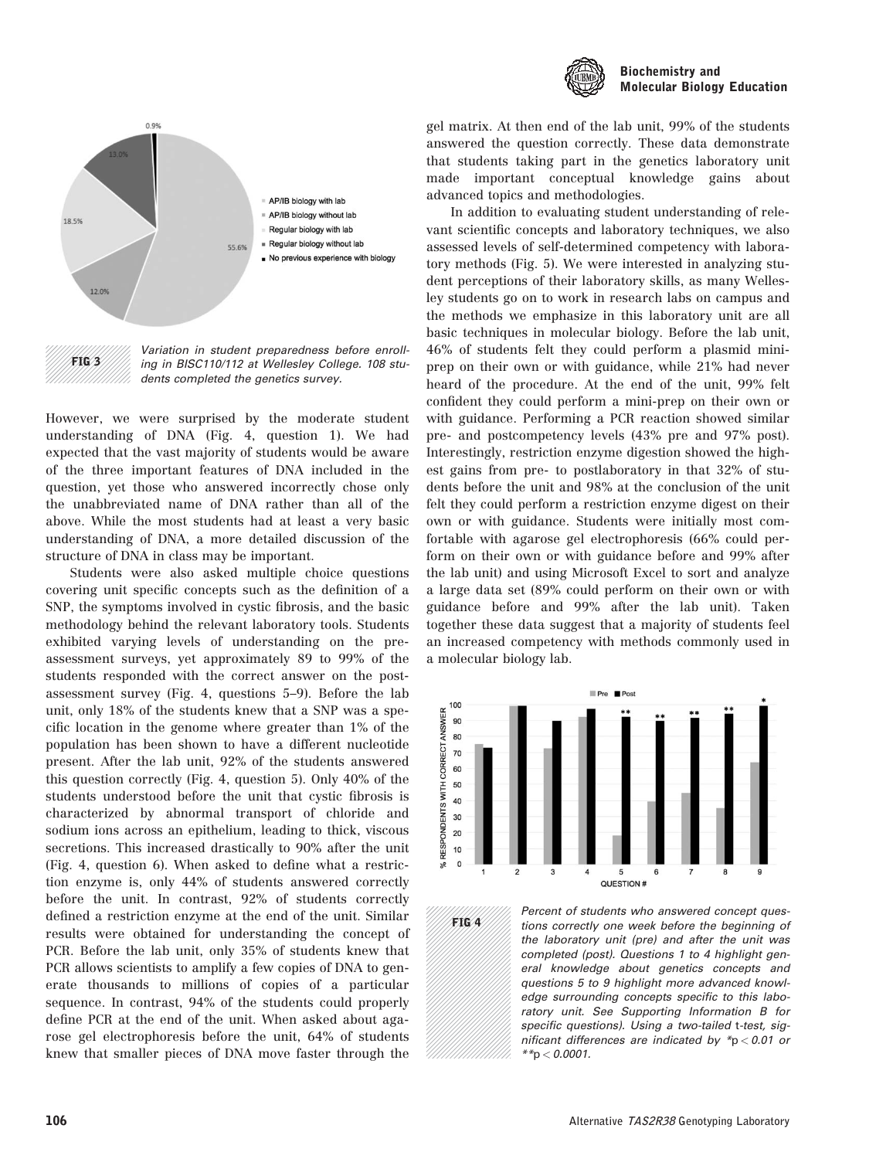



FIG 3

Variation in student preparedness before enrolling in BISC110/112 at Wellesley College. 108 students completed the genetics survey.

However, we were surprised by the moderate student understanding of DNA (Fig. 4, question 1). We had expected that the vast majority of students would be aware of the three important features of DNA included in the question, yet those who answered incorrectly chose only the unabbreviated name of DNA rather than all of the above. While the most students had at least a very basic understanding of DNA, a more detailed discussion of the structure of DNA in class may be important.

Students were also asked multiple choice questions covering unit specific concepts such as the definition of a SNP, the symptoms involved in cystic fibrosis, and the basic methodology behind the relevant laboratory tools. Students exhibited varying levels of understanding on the preassessment surveys, yet approximately 89 to 99% of the students responded with the correct answer on the postassessment survey (Fig. 4, questions 5–9). Before the lab unit, only 18% of the students knew that a SNP was a specific location in the genome where greater than 1% of the population has been shown to have a different nucleotide present. After the lab unit, 92% of the students answered this question correctly (Fig. 4, question 5). Only 40% of the students understood before the unit that cystic fibrosis is characterized by abnormal transport of chloride and sodium ions across an epithelium, leading to thick, viscous secretions. This increased drastically to 90% after the unit (Fig. 4, question 6). When asked to define what a restriction enzyme is, only 44% of students answered correctly before the unit. In contrast, 92% of students correctly defined a restriction enzyme at the end of the unit. Similar results were obtained for understanding the concept of PCR. Before the lab unit, only 35% of students knew that PCR allows scientists to amplify a few copies of DNA to generate thousands to millions of copies of a particular sequence. In contrast, 94% of the students could properly define PCR at the end of the unit. When asked about agarose gel electrophoresis before the unit, 64% of students knew that smaller pieces of DNA move faster through the

gel matrix. At then end of the lab unit, 99% of the students answered the question correctly. These data demonstrate that students taking part in the genetics laboratory unit made important conceptual knowledge gains about advanced topics and methodologies.

In addition to evaluating student understanding of relevant scientific concepts and laboratory techniques, we also assessed levels of self-determined competency with laboratory methods (Fig. 5). We were interested in analyzing student perceptions of their laboratory skills, as many Wellesley students go on to work in research labs on campus and the methods we emphasize in this laboratory unit are all basic techniques in molecular biology. Before the lab unit, 46% of students felt they could perform a plasmid miniprep on their own or with guidance, while 21% had never heard of the procedure. At the end of the unit, 99% felt confident they could perform a mini-prep on their own or with guidance. Performing a PCR reaction showed similar pre- and postcompetency levels (43% pre and 97% post). Interestingly, restriction enzyme digestion showed the highest gains from pre- to postlaboratory in that 32% of students before the unit and 98% at the conclusion of the unit felt they could perform a restriction enzyme digest on their own or with guidance. Students were initially most comfortable with agarose gel electrophoresis (66% could perform on their own or with guidance before and 99% after the lab unit) and using Microsoft Excel to sort and analyze a large data set (89% could perform on their own or with guidance before and 99% after the lab unit). Taken together these data suggest that a majority of students feel an increased competency with methods commonly used in a molecular biology lab.



FIG 4

Percent of students who answered concept questions correctly one week before the beginning of the laboratory unit (pre) and after the unit was completed (post). Questions 1 to 4 highlight general knowledge about genetics concepts and questions 5 to 9 highlight more advanced knowledge surrounding concepts specific to this laboratory unit. See Supporting Information B for specific questions). Using a two-tailed t-test, significant differences are indicated by  $p > 0.01$  or  $*$  $*$ p  $<$  0.0001.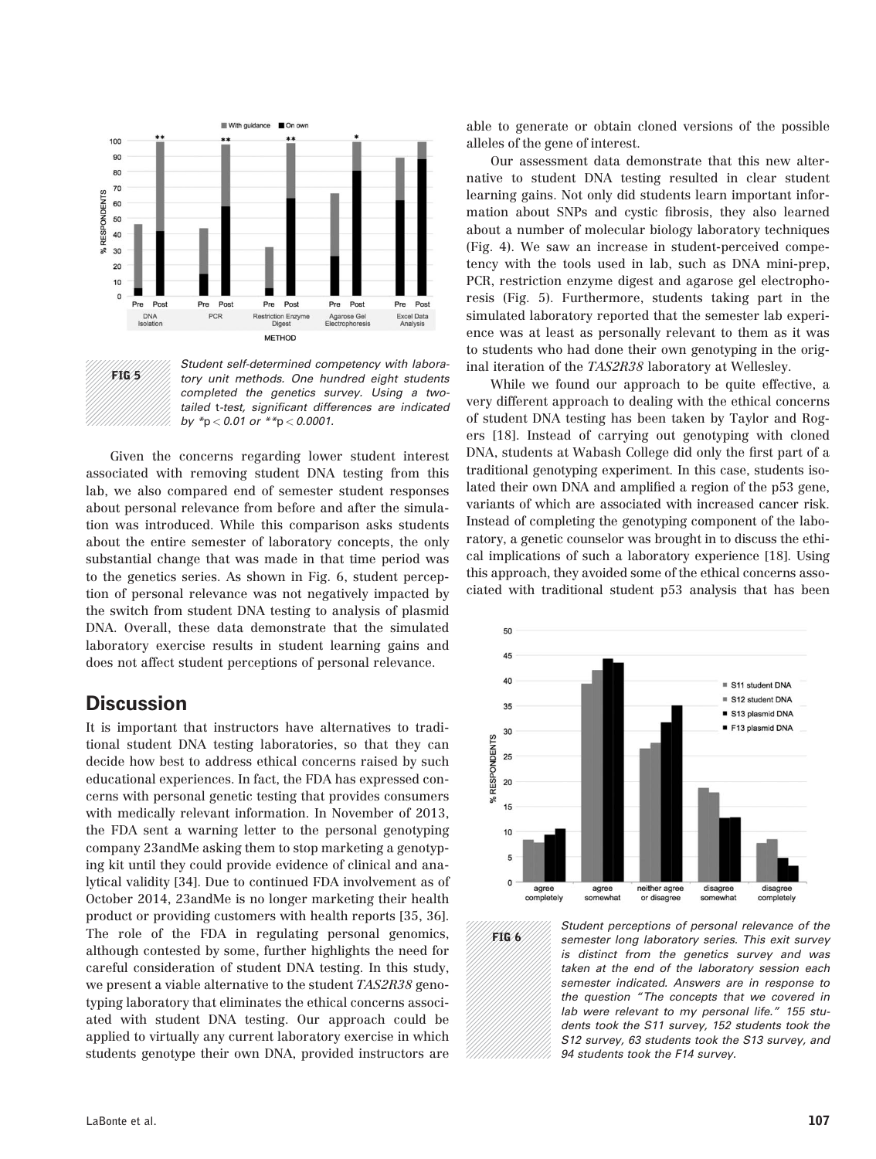



Student self-determined competency with laboratory unit methods. One hundred eight students completed the genetics survey. Using a twotailed t-test, significant differences are indicated by  $*_{p} < 0.01$  or  $*_{p} < 0.0001$ .

Given the concerns regarding lower student interest associated with removing student DNA testing from this lab, we also compared end of semester student responses about personal relevance from before and after the simulation was introduced. While this comparison asks students about the entire semester of laboratory concepts, the only substantial change that was made in that time period was to the genetics series. As shown in Fig. 6, student perception of personal relevance was not negatively impacted by the switch from student DNA testing to analysis of plasmid DNA. Overall, these data demonstrate that the simulated laboratory exercise results in student learning gains and does not affect student perceptions of personal relevance.

### **Discussion**

It is important that instructors have alternatives to traditional student DNA testing laboratories, so that they can decide how best to address ethical concerns raised by such educational experiences. In fact, the FDA has expressed concerns with personal genetic testing that provides consumers with medically relevant information. In November of 2013, the FDA sent a warning letter to the personal genotyping company 23andMe asking them to stop marketing a genotyping kit until they could provide evidence of clinical and analytical validity [34]. Due to continued FDA involvement as of October 2014, 23andMe is no longer marketing their health product or providing customers with health reports [35, 36]. The role of the FDA in regulating personal genomics, although contested by some, further highlights the need for careful consideration of student DNA testing. In this study, we present a viable alternative to the student TAS2R38 genotyping laboratory that eliminates the ethical concerns associated with student DNA testing. Our approach could be applied to virtually any current laboratory exercise in which students genotype their own DNA, provided instructors are

able to generate or obtain cloned versions of the possible alleles of the gene of interest.

Our assessment data demonstrate that this new alternative to student DNA testing resulted in clear student learning gains. Not only did students learn important information about SNPs and cystic fibrosis, they also learned about a number of molecular biology laboratory techniques (Fig. 4). We saw an increase in student-perceived competency with the tools used in lab, such as DNA mini-prep, PCR, restriction enzyme digest and agarose gel electrophoresis (Fig. 5). Furthermore, students taking part in the simulated laboratory reported that the semester lab experience was at least as personally relevant to them as it was to students who had done their own genotyping in the original iteration of the TAS2R38 laboratory at Wellesley.

While we found our approach to be quite effective, a very different approach to dealing with the ethical concerns of student DNA testing has been taken by Taylor and Rogers [18]. Instead of carrying out genotyping with cloned DNA, students at Wabash College did only the first part of a traditional genotyping experiment. In this case, students isolated their own DNA and amplified a region of the p53 gene, variants of which are associated with increased cancer risk. Instead of completing the genotyping component of the laboratory, a genetic counselor was brought in to discuss the ethical implications of such a laboratory experience [18]. Using this approach, they avoided some of the ethical concerns associated with traditional student p53 analysis that has been



FIG 6

Student perceptions of personal relevance of the semester long laboratory series. This exit survey is distinct from the genetics survey and was taken at the end of the laboratory session each semester indicated. Answers are in response to the question "The concepts that we covered in lab were relevant to my personal life." 155 students took the S11 survey, 152 students took the S12 survey, 63 students took the S13 survey, and 94 students took the F14 survey.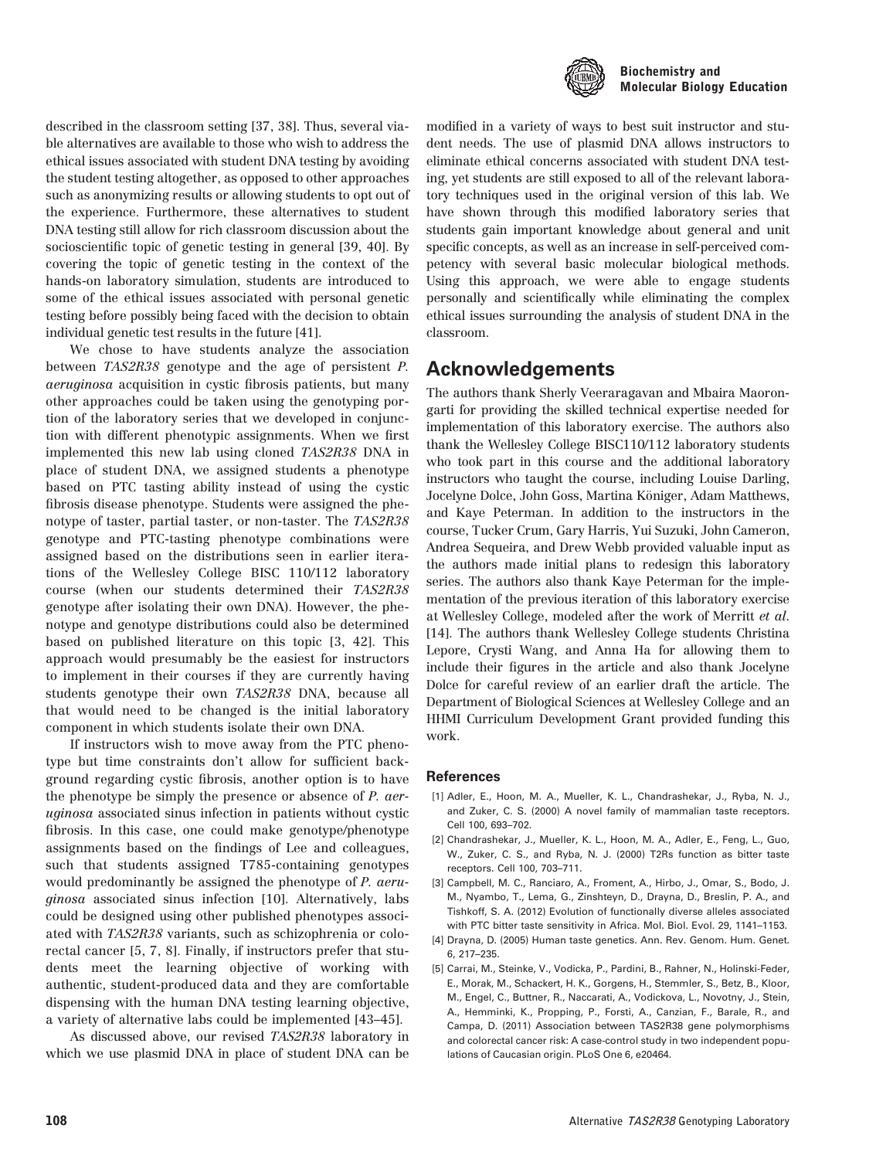

described in the classroom setting [37, 38]. Thus, several viable alternatives are available to those who wish to address the ethical issues associated with student DNA testing by avoiding the student testing altogether, as opposed to other approaches such as anonymizing results or allowing students to opt out of the experience. Furthermore, these alternatives to student DNA testing still allow for rich classroom discussion about the socioscientific topic of genetic testing in general [39, 40]. By covering the topic of genetic testing in the context of the hands-on laboratory simulation, students are introduced to some of the ethical issues associated with personal genetic testing before possibly being faced with the decision to obtain individual genetic test results in the future [41].

We chose to have students analyze the association between TAS2R38 genotype and the age of persistent P. aeruginosa acquisition in cystic fibrosis patients, but many other approaches could be taken using the genotyping portion of the laboratory series that we developed in conjunction with different phenotypic assignments. When we first implemented this new lab using cloned TAS2R38 DNA in place of student DNA, we assigned students a phenotype based on PTC tasting ability instead of using the cystic fibrosis disease phenotype. Students were assigned the phenotype of taster, partial taster, or non-taster. The TAS2R38 genotype and PTC-tasting phenotype combinations were assigned based on the distributions seen in earlier iterations of the Wellesley College BISC 110/112 laboratory course (when our students determined their TAS2R38 genotype after isolating their own DNA). However, the phenotype and genotype distributions could also be determined based on published literature on this topic [3, 42]. This approach would presumably be the easiest for instructors to implement in their courses if they are currently having students genotype their own TAS2R38 DNA, because all that would need to be changed is the initial laboratory component in which students isolate their own DNA.

If instructors wish to move away from the PTC phenotype but time constraints don't allow for sufficient background regarding cystic fibrosis, another option is to have the phenotype be simply the presence or absence of P. aeruginosa associated sinus infection in patients without cystic fibrosis. In this case, one could make genotype/phenotype assignments based on the findings of Lee and colleagues, such that students assigned T785-containing genotypes would predominantly be assigned the phenotype of P. aeruginosa associated sinus infection [10]. Alternatively, labs could be designed using other published phenotypes associated with TAS2R38 variants, such as schizophrenia or colorectal cancer [5, 7, 8]. Finally, if instructors prefer that students meet the learning objective of working with authentic, student-produced data and they are comfortable dispensing with the human DNA testing learning objective, a variety of alternative labs could be implemented [43–45].

As discussed above, our revised TAS2R38 laboratory in which we use plasmid DNA in place of student DNA can be modified in a variety of ways to best suit instructor and student needs. The use of plasmid DNA allows instructors to eliminate ethical concerns associated with student DNA testing, yet students are still exposed to all of the relevant laboratory techniques used in the original version of this lab. We have shown through this modified laboratory series that students gain important knowledge about general and unit specific concepts, as well as an increase in self-perceived competency with several basic molecular biological methods. Using this approach, we were able to engage students personally and scientifically while eliminating the complex ethical issues surrounding the analysis of student DNA in the classroom.

### Acknowledgements

The authors thank Sherly Veeraragavan and Mbaira Maorongarti for providing the skilled technical expertise needed for implementation of this laboratory exercise. The authors also thank the Wellesley College BISC110/112 laboratory students who took part in this course and the additional laboratory instructors who taught the course, including Louise Darling, Jocelyne Dolce, John Goss, Martina Königer, Adam Matthews, and Kaye Peterman. In addition to the instructors in the course, Tucker Crum, Gary Harris, Yui Suzuki, John Cameron, Andrea Sequeira, and Drew Webb provided valuable input as the authors made initial plans to redesign this laboratory series. The authors also thank Kaye Peterman for the implementation of the previous iteration of this laboratory exercise at Wellesley College, modeled after the work of Merritt et al. [14]. The authors thank Wellesley College students Christina Lepore, Crysti Wang, and Anna Ha for allowing them to include their figures in the article and also thank Jocelyne Dolce for careful review of an earlier draft the article. The Department of Biological Sciences at Wellesley College and an HHMI Curriculum Development Grant provided funding this work.

#### References

- [1] Adler, E., Hoon, M. A., Mueller, K. L., Chandrashekar, J., Ryba, N. J., and Zuker, C. S. (2000) A novel family of mammalian taste receptors. Cell 100, 693–702.
- [2] Chandrashekar, J., Mueller, K. L., Hoon, M. A., Adler, E., Feng, L., Guo, W., Zuker, C. S., and Ryba, N. J. (2000) T2Rs function as bitter taste receptors. Cell 100, 703–711.
- [3] Campbell, M. C., Ranciaro, A., Froment, A., Hirbo, J., Omar, S., Bodo, J. M., Nyambo, T., Lema, G., Zinshteyn, D., Drayna, D., Breslin, P. A., and Tishkoff, S. A. (2012) Evolution of functionally diverse alleles associated with PTC bitter taste sensitivity in Africa. Mol. Biol. Evol. 29, 1141–1153.
- [4] Drayna, D. (2005) Human taste genetics. Ann. Rev. Genom. Hum. Genet. 6, 217–235.
- [5] Carrai, M., Steinke, V., Vodicka, P., Pardini, B., Rahner, N., Holinski-Feder, E., Morak, M., Schackert, H. K., Gorgens, H., Stemmler, S., Betz, B., Kloor, M., Engel, C., Buttner, R., Naccarati, A., Vodickova, L., Novotny, J., Stein, A., Hemminki, K., Propping, P., Forsti, A., Canzian, F., Barale, R., and Campa, D. (2011) Association between TAS2R38 gene polymorphisms and colorectal cancer risk: A case-control study in two independent populations of Caucasian origin. PLoS One 6, e20464.